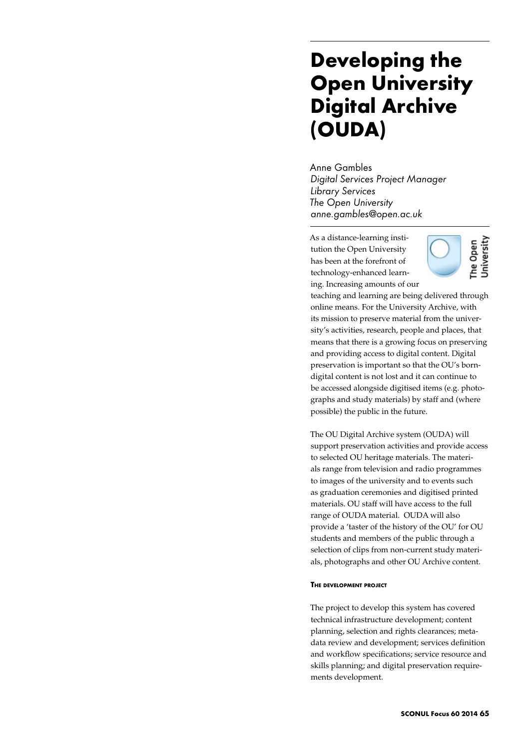# **Developing the Open University Digital Archive (OUDA)**

Anne Gambles *Digital Services Project Manager Library Services The Open University anne.gambles@open.ac.uk*

As a distance-learning institution the Open University has been at the forefront of technology-enhanced learning. Increasing amounts of our



teaching and learning are being delivered through online means. For the University Archive, with its mission to preserve material from the university's activities, research, people and places, that means that there is a growing focus on preserving and providing access to digital content. Digital preservation is important so that the OU's borndigital content is not lost and it can continue to be accessed alongside digitised items (e.g. photographs and study materials) by staff and (where possible) the public in the future.

The OU Digital Archive system (OUDA) will support preservation activities and provide access to selected OU heritage materials. The materials range from television and radio programmes to images of the university and to events such as graduation ceremonies and digitised printed materials. OU staff will have access to the full range of OUDA material. OUDA will also provide a 'taster of the history of the OU' for OU students and members of the public through a selection of clips from non-current study materials, photographs and other OU Archive content.

#### **The development project**

The project to develop this system has covered technical infrastructure development; content planning, selection and rights clearances; metadata review and development; services definition and workflow specifications; service resource and skills planning; and digital preservation requirements development.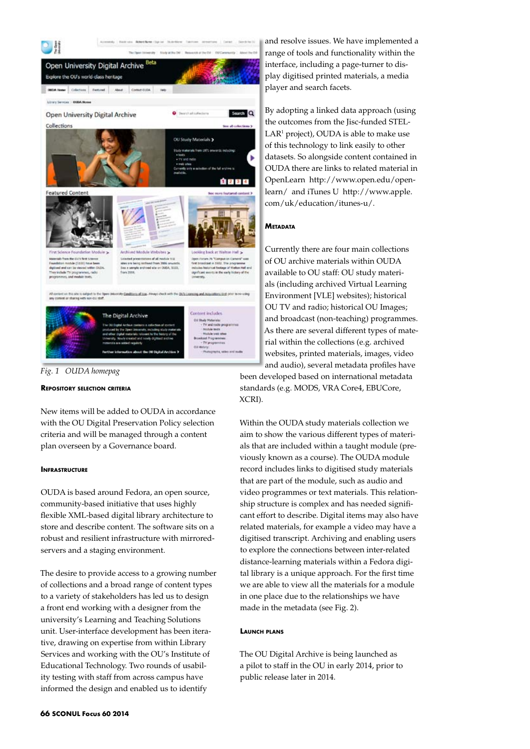

## *Fig. 1 OUDA homepag*

#### **Repository selection criteria**

New items will be added to OUDA in accordance with the OU Digital Preservation Policy selection criteria and will be managed through a content plan overseen by a Governance board.

#### **Infrastructure**

OUDA is based around Fedora, an open source, community-based initiative that uses highly flexible XML-based digital library architecture to store and describe content. The software sits on a robust and resilient infrastructure with mirroredservers and a staging environment.

The desire to provide access to a growing number of collections and a broad range of content types to a variety of stakeholders has led us to design a front end working with a designer from the university's Learning and Teaching Solutions unit. User-interface development has been iterative, drawing on expertise from within Library Services and working with the OU's Institute of Educational Technology. Two rounds of usability testing with staff from across campus have informed the design and enabled us to identify

and resolve issues. We have implemented a range of tools and functionality within the interface, including a page-turner to display digitised printed materials, a media player and search facets.

By adopting a linked data approach (using the outcomes from the Jisc-funded STEL- $LAR<sup>1</sup>$  project), OUDA is able to make use of this technology to link easily to other datasets. So alongside content contained in OUDA there are links to related material in OpenLearn http://www.open.edu/openlearn/ and iTunes U http://www.apple. com/uk/education/itunes-u/.

## **Metadata**

Currently there are four main collections of OU archive materials within OUDA available to OU staff: OU study materials (including archived Virtual Learning Environment [VLE] websites); historical OU TV and radio; historical OU Images; and broadcast (non-teaching) programmes. As there are several different types of material within the collections (e.g. archived websites, printed materials, images, video and audio), several metadata profiles have

been developed based on international metadata standards (e.g. MODS, VRA Core4, EBUCore, XCRI).

Within the OUDA study materials collection we aim to show the various different types of materials that are included within a taught module (previously known as a course). The OUDA module record includes links to digitised study materials that are part of the module, such as audio and video programmes or text materials. This relationship structure is complex and has needed significant effort to describe. Digital items may also have related materials, for example a video may have a digitised transcript. Archiving and enabling users to explore the connections between inter-related distance-learning materials within a Fedora digital library is a unique approach. For the first time we are able to view all the materials for a module in one place due to the relationships we have made in the metadata (see Fig. 2).

#### **Launch plans**

The OU Digital Archive is being launched as a pilot to staff in the OU in early 2014, prior to public release later in 2014.